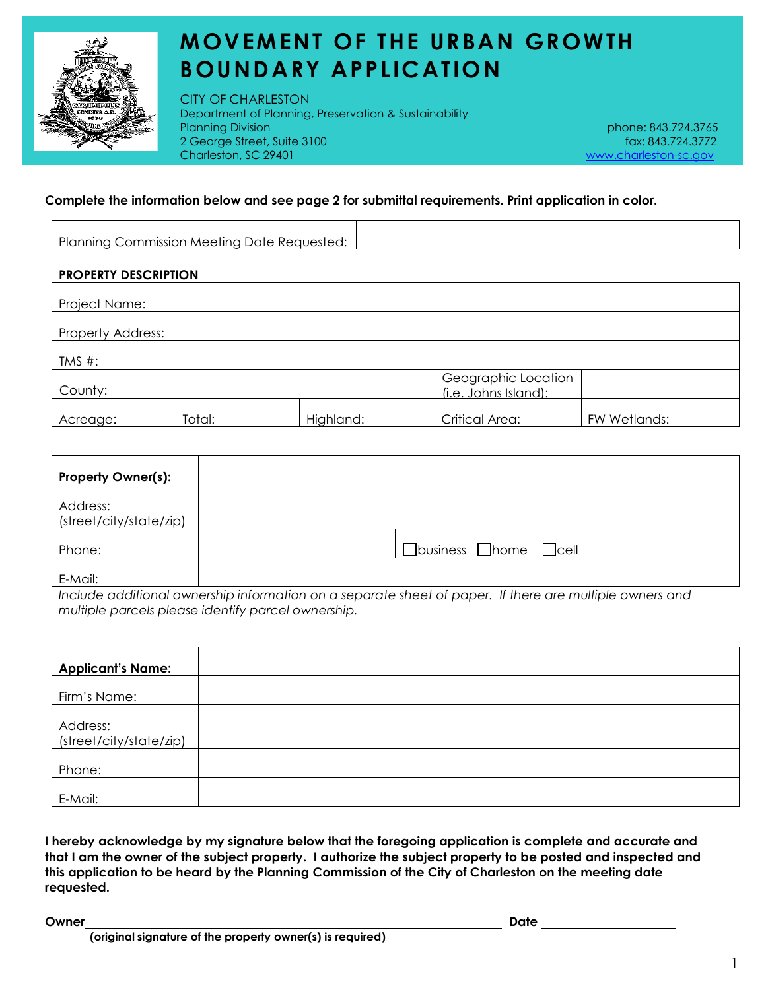

# **MOVEMENT OF THE URBAN GROWTH BOUNDARY APPLICATION**

CITY OF CHARLESTON Department of Planning, Preservation & Sustainability Planning Division phone: 843.724.3765 2 George Street, Suite 3100 fax: 843.724.3772 Charleston, SC 29401 [www.charleston-sc.gov](http://www.charleston-sc.gov/)

### **Complete the information below and see page 2 for submittal requirements. Print application in color.**

|  | Planning Commission Meeting Date Requested: |  |
|--|---------------------------------------------|--|
|  |                                             |  |
|  |                                             |  |

### **PROPERTY DESCRIPTION**

| Project Name:            |        |           |                                             |              |
|--------------------------|--------|-----------|---------------------------------------------|--------------|
| <b>Property Address:</b> |        |           |                                             |              |
| TMS #:                   |        |           |                                             |              |
| County:                  |        |           | Geographic Location<br>(i.e. Johns Island): |              |
| Acreage:                 | Total: | Highland: | Critical Area:                              | FW Wetlands: |

| <b>Property Owner(s):</b>           |                                              |
|-------------------------------------|----------------------------------------------|
| Address:<br>(street/city/state/zip) |                                              |
| Phone:                              | $\Box$ business $\Box$ home<br>$\sqcup$ cell |
| E-Mail:                             |                                              |

*Include additional ownership information on a separate sheet of paper. If there are multiple owners and multiple parcels please identify parcel ownership.*

| <b>Applicant's Name:</b>            |  |
|-------------------------------------|--|
| Firm's Name:                        |  |
| Address:<br>(street/city/state/zip) |  |
| Phone:                              |  |
| E-Mail:                             |  |

**I hereby acknowledge by my signature below that the foregoing application is complete and accurate and that I am the owner of the subject property. I authorize the subject property to be posted and inspected and this application to be heard by the Planning Commission of the City of Charleston on the meeting date requested.** 

**Owner Date**